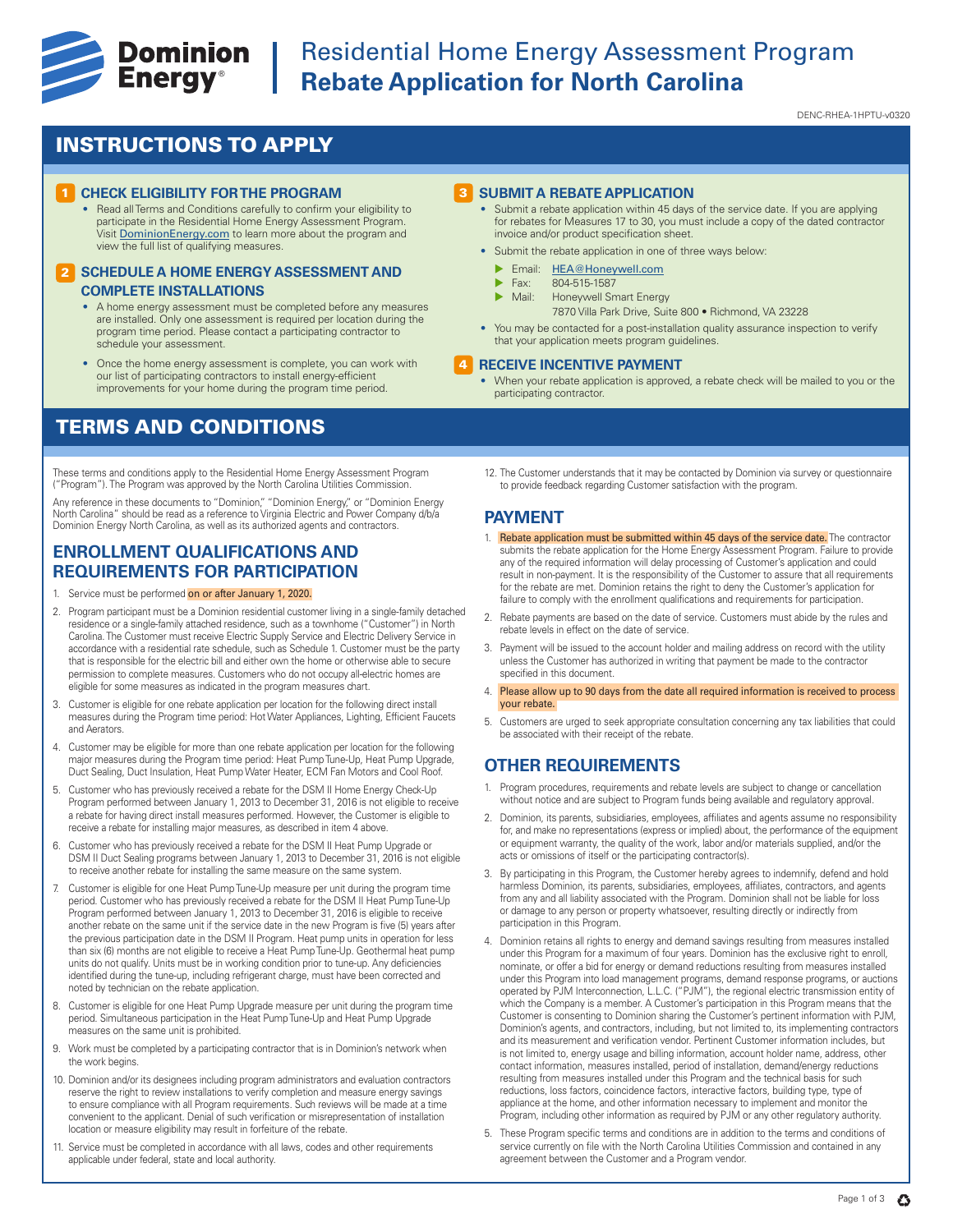

# **Example 19 Dominion** Residential Home Energy Assessment Program<br> **Energy**® Rebate Application for North Carolina **Rebate Application for North Carolina**

DENC-RHEA-1HPTU-v0320

## INSTRUCTIONS TO APPLY

#### **CHECK ELIGIBILITY FOR THE PROGRAM**

• Read all Terms and Conditions carefully to confirm your eligibility to participate in the Residential Home Energy Assessment Program. Visit DominionEnergy.com to learn more about the program and view the full list of qualifying measures.

#### **2 SCHEDULE A HOME ENERGY ASSESSMENT AND COMPLETE INSTALLATIONS**

- A home energy assessment must be completed before any measures are installed. Only one assessment is required per location during the program time period. Please contact a participating contractor to schedule your assessment.
- Once the home energy assessment is complete, you can work with our list of participating contractors to install energy-efficient improvements for your home during the program time period.

## TERMS AND CONDITIONS

These terms and conditions apply to the Residential Home Energy Assessment Program ("Program"). The Program was approved by the North Carolina Utilities Commission.

Any reference in these documents to "Dominion," "Dominion Energy," or "Dominion Energy<br>North Carolina" should be read as a reference to Virginia Electric and Power Company d/b/a Dominion Energy North Carolina, as well as its authorized agents and contractors.

## **ENROLLMENT QUALIFICATIONS AND REQUIREMENTS FOR PARTICIPATION**

- 1. Service must be performed on or after January 1, 2020.
- 2. Program participant must be a Dominion residential customer living in a single-family detached residence or a single-family attached residence, such as a townhome ("Customer") in North Carolina. The Customer must receive Electric Supply Service and Electric Delivery Service in accordance with a residential rate schedule, such as Schedule 1. Customer must be the party that is responsible for the electric bill and either own the home or otherwise able to secure permission to complete measures. Customers who do not occupy all-electric homes are eligible for some measures as indicated in the program measures chart.
- 3. Customer is eligible for one rebate application per location for the following direct install measures during the Program time period: Hot Water Appliances, Lighting, Efficient Faucets and Aerators.
- 4. Customer may be eligible for more than one rebate application per location for the following major measures during the Program time period: Heat Pump Tune-Up, Heat Pump Upgrade, Duct Sealing, Duct Insulation, Heat Pump Water Heater, ECM Fan Motors and Cool Roof.
- 5. Customer who has previously received a rebate for the DSM II Home Energy Check-Up Program performed between January 1, 2013 to December 31, 2016 is not eligible to receive a rebate for having direct install measures performed. However, the Customer is eligible to receive a rebate for installing major measures, as described in item 4 above.
- 6. Customer who has previously received a rebate for the DSM II Heat Pump Upgrade or DSM II Duct Sealing programs between January 1, 2013 to December 31, 2016 is not eligible to receive another rebate for installing the same measure on the same system.
- 7. Customer is eligible for one Heat Pump Tune-Up measure per unit during the program time period. Customer who has previously received a rebate for the DSM II Heat Pump Tune-Up Program performed between January 1, 2013 to December 31, 2016 is eligible to receive another rebate on the same unit if the service date in the new Program is five (5) years after the previous participation date in the DSM II Program. Heat pump units in operation for less than six (6) months are not eligible to receive a Heat Pump Tune-Up. Geothermal heat pump units do not qualify. Units must be in working condition prior to tune-up. Any deficiencies identified during the tune-up, including refrigerant charge, must have been corrected and noted by technician on the rebate application.
- 8. Customer is eligible for one Heat Pump Upgrade measure per unit during the program time period. Simultaneous participation in the Heat Pump Tune-Up and Heat Pump Upgrade measures on the same unit is prohibited.
- 9. Work must be completed by a participating contractor that is in Dominion's network when the work begins.
- 10. Dominion and/or its designees including program administrators and evaluation contractors reserve the right to review installations to verify completion and measure energy savings to ensure compliance with all Program requirements. Such reviews will be made at a time convenient to the applicant. Denial of such verification or misrepresentation of installation location or measure eligibility may result in forfeiture of the rebate.
- 11. Service must be completed in accordance with all laws, codes and other requirements applicable under federal, state and local authority.

#### **3** SUBMIT A REBATE APPLICATION

- Submit a rebate application within 45 days of the service date. If you are applying for rebates for Measures 17 to 30, you must include a copy of the dated contractor invoice and/or product specification sheet.
- Submit the rebate application in one of three ways below:
	- Email: HEA@Honeywell.com
	- $\triangleright$  Fax: 804-515-1587
	- Honeywell Smart Energy
		- 7870 Villa Park Drive, Suite 800 Richmond, VA 23228
- You may be contacted for a post-installation quality assurance inspection to verify that your application meets program guidelines.

#### **RECEIVE INCENTIVE PAYMENT** 4

- When your rebate application is approved, a rebate check will be mailed to you or the participating contractor.
- 12. The Customer understands that it may be contacted by Dominion via survey or questionnaire to provide feedback regarding Customer satisfaction with the program.

#### **PAYMENT**

- 1. Rebate application must be submitted within 45 days of the service date. The contractor submits the rebate application for the Home Energy Assessment Program. Failure to provide any of the required information will delay processing of Customer's application and could result in non-payment. It is the responsibility of the Customer to assure that all requirements for the rebate are met. Dominion retains the right to deny the Customer's application for failure to comply with the enrollment qualifications and requirements for participation.
- 2. Rebate payments are based on the date of service. Customers must abide by the rules and rebate levels in effect on the date of service.
- 3. Payment will be issued to the account holder and mailing address on record with the utility unless the Customer has authorized in writing that payment be made to the contractor specified in this document.
- 4. Please allow up to 90 days from the date all required information is received to process your rebate.
- 5. Customers are urged to seek appropriate consultation concerning any tax liabilities that could be associated with their receipt of the rebate.

## **OTHER REQUIREMENTS**

- 1. Program procedures, requirements and rebate levels are subject to change or cancellation without notice and are subject to Program funds being available and regulatory approval.
- 2. Dominion, its parents, subsidiaries, employees, affiliates and agents assume no responsibility for, and make no representations (express or implied) about, the performance of the equipment or equipment warranty, the quality of the work, labor and/or materials supplied, and/or the acts or omissions of itself or the participating contractor(s).
- 3. By participating in this Program, the Customer hereby agrees to indemnify, defend and hold harmless Dominion, its parents, subsidiaries, employees, affiliates, contractors, and agents from any and all liability associated with the Program. Dominion shall not be liable for loss or damage to any person or property whatsoever, resulting directly or indirectly from participation in this Program.
- 4. Dominion retains all rights to energy and demand savings resulting from measures installed under this Program for a maximum of four years. Dominion has the exclusive right to enroll, nominate, or offer a bid for energy or demand reductions resulting from measures installed under this Program into load management programs, demand response programs, or auctions operated by PJM Interconnection, L.L.C. ("PJM"), the regional electric transmission entity of which the Company is a member. A Customer's participation in this Program means that the Customer is consenting to Dominion sharing the Customer's pertinent information with PJM, Dominion's agents, and contractors, including, but not limited to, its implementing contractors and its measurement and verification vendor. Pertinent Customer information includes, but is not limited to, energy usage and billing information, account holder name, address, other contact information, measures installed, period of installation, demand/energy reductions resulting from measures installed under this Program and the technical basis for such reductions, loss factors, coincidence factors, interactive factors, building type, type of appliance at the home, and other information necessary to implement and monitor the Program, including other information as required by PJM or any other regulatory authority.
- 5. These Program specific terms and conditions are in addition to the terms and conditions of service currently on file with the North Carolina Utilities Commission and contained in any agreement between the Customer and a Program vendor.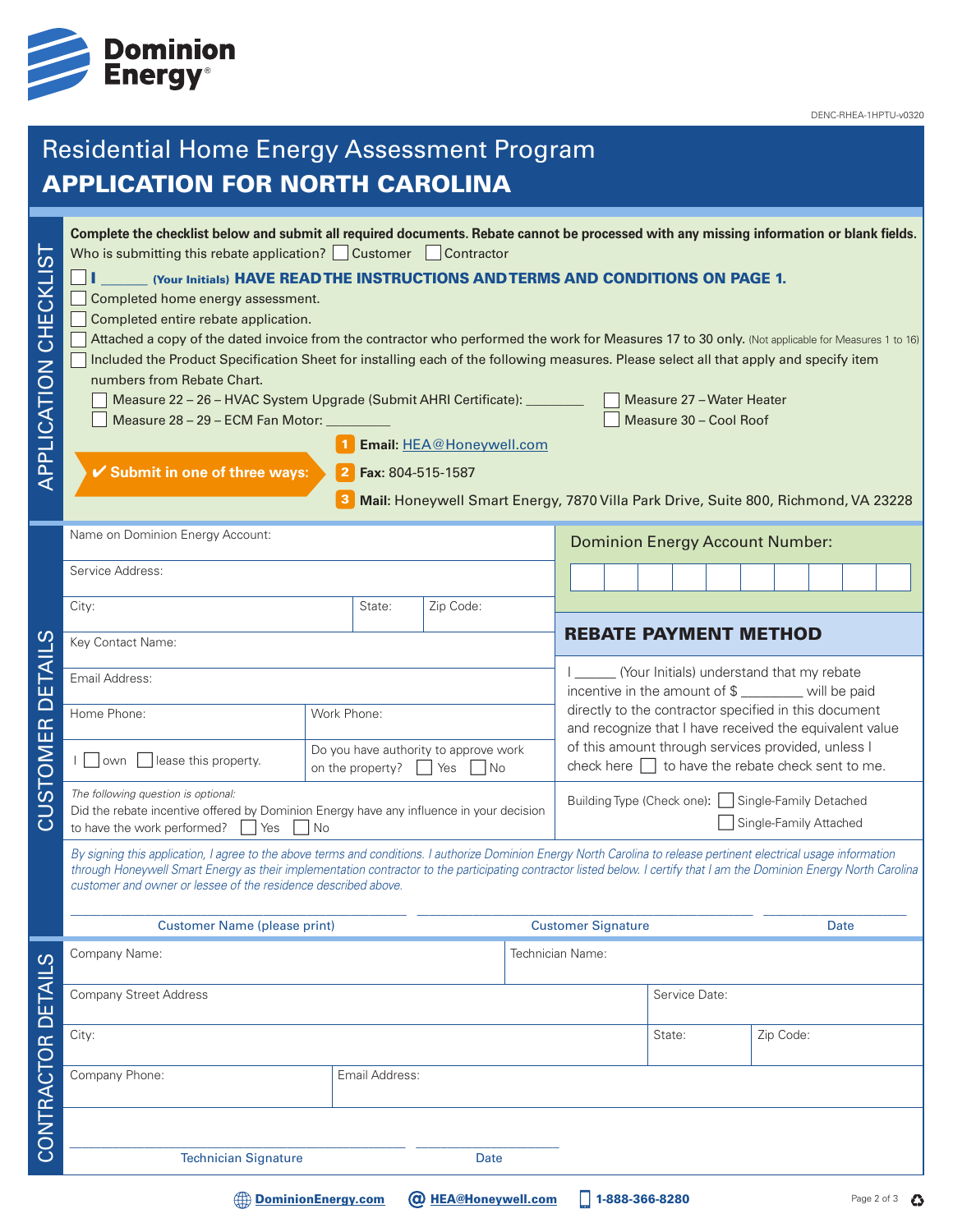

DENC-RHEA-1HPTU-v0320

### Residential Home Energy Assessment Program APPLICATION FOR NORTH CAROLINA **Complete the checklist below and submit all required documents. Rebate cannot be processed with any missing information or blank fields.** APPLICATION CHECKLIST APPLICATION CHECKLIST Who is submitting this rebate application?  $\Box$  Customer  $\Box$  Contractor (Your Initials) HAVE READ THE INSTRUCTIONS AND TERMS AND CONDITIONS ON PAGE 1. Completed home energy assessment. Completed entire rebate application. Attached a copy of the dated invoice from the contractor who performed the work for Measures 17 to 30 only. (Not applicable for Measures 1 to 16) Included the Product Specification Sheet for installing each of the following measures. Please select all that apply and specify item numbers from Rebate Chart. Measure 22 – 26 – HVAC System Upgrade (Submit AHRI Certificate): \_\_\_\_\_\_\_\_\_ Measure 27 – Water Heater Measure 28 – 29 – ECM Fan Motor: \_\_\_\_\_\_\_\_\_\_ Measure 30 – Cool Roof 1 Email: HEA@Honeywell.com 4 **Submit in one of three ways: Fax:** 804-515-1587 2 3 **Mail:** Honeywell Smart Energy, 7870 Villa Park Drive, Suite 800, Richmond, VA 23228 Name on Dominion Energy Account: Dominion Energy Account Number: Service Address: City: City: City: City: City: City: City: City: City: Code: 2.5 and 2.5 and 2.5 and 2.5 and 2.5 and 2.5 and 2.5 and 2.5 and 2.5 and 2.5 and 2.5 and 2.5 and 2.5 and 2.5 and 2.5 and 2.5 and 2.5 and 2.5 and 2.5 and 2.5 and 2. REBATE PAYMENT METHOD  $\Omega$ CUSTOMER DETAILS Key Contact Name: CUSTOMER DETAIL I (Your Initials) understand that my rebate Email Address: incentive in the amount of \$ \_\_\_\_\_\_\_\_\_ will be paid directly to the contractor specified in this document Home Phone: Work Phone: and recognize that I have received the equivalent value of this amount through services provided, unless I  $\Box$  Own  $\Box$  lease this property.  $\Box$  Do you have authority to approve work on the property?  $\Box$  Yes  $\Box$  No check here  $\Box$  to have the rebate check sent to me. *The following question is optional:* Building Type (Check one):  $\Box$  Single-Family Detached Did the rebate incentive offered by Dominion Energy have any influence in your decision Single-Family Attached to have the work performed?  $\Box$  Yes  $\Box$  No *By signing this application, I agree to the above terms and conditions. I authorize Dominion Energy North Carolina to release pertinent electrical usage information through Honeywell Smart Energy as their implementation contractor to the participating contractor listed below. I certify that I am the Dominion Energy North Carolina customer and owner or lessee of the residence described above.* \_\_\_\_\_\_\_\_\_\_\_\_\_\_\_\_\_\_\_\_\_\_\_\_\_\_\_\_\_\_\_\_\_\_\_\_\_\_\_\_\_\_\_\_\_\_\_\_\_\_\_\_\_\_ \_\_\_\_\_\_\_\_\_\_\_\_\_\_\_\_\_\_\_\_\_\_\_\_\_\_\_\_\_\_\_\_\_\_\_\_\_\_\_\_\_\_\_\_\_\_\_\_\_\_\_\_\_\_ \_\_\_\_\_\_\_\_\_\_\_\_\_\_\_\_\_\_\_\_\_\_\_ Customer Name (please print) Customer Signature Date Company Name: Technician Name: ပာ CONTRACTOR DETAILS CONTRACTOR DETAIL Company Street Address Service Date: Service Date: Service Date: Service Date: Service Date: Service Date: Service Date: Service Date: Service Date: Service Date: Service Date: Service Date: Service Date: Service Date: Ser City: State: Zip Code: Company Phone: Email Address: \_\_\_\_\_\_\_\_\_\_\_\_\_\_\_\_\_\_\_\_\_\_\_\_\_\_\_\_\_\_\_\_\_\_\_\_\_\_\_\_\_\_\_\_\_\_\_\_\_\_\_\_\_\_ \_\_\_\_\_\_\_\_\_\_\_\_\_\_\_\_\_\_\_\_\_\_\_ Technician Signature Date

**Example 1-888-366-8280** [DominionEnergy.com](https://www.dominionenergy.com) **Q** HEA@Honeywell.com 1-888-366-8280